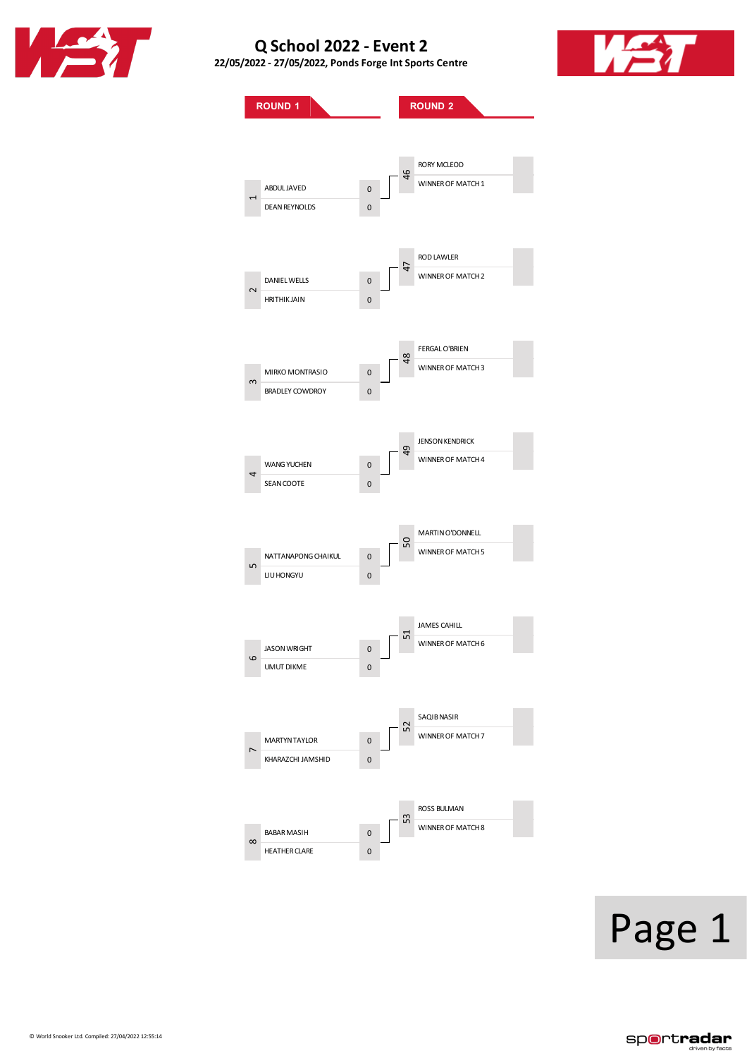

**22/05/2022 - 27/05/2022, PondsForge IntSports Centre**



**ROUND 1 ROUND 2** ABDULJAVED 0 DEAN REYNOLDS 0 DANIEL WELLS 0 HRITHIK JAIN 0 MIRKO MONTRASIO 0 BRADLEY COWDROY 0 WANG YUCHEN 0 SEAN COOTE 0 NATTANAPONG CHAIKUL 0 LIUHONGYU 0 JASON WRIGHT 0 UMUT DIKME 0 MARTYN TAYLOR 0 KHARAZCHI JAMSHID 0 BABAR MASIH 0 HEATHERCLARE 0 RORY MCLEOD WINNER OF MATCH 1 RODLAWLER WINNER OF MATCH 2 FERGALO'BRIEN WINNER OF MATCH 3 **JENSON KENDRICK** WINNER OF MATCH 4 MARTINO'DONNELL WINNER OF MATCH 5 JAMES CAHILL WINNER OF MATCH 6 SAQIBNASIR WINNER OF MATCH 7 ROSS BULMAN WINNER OF MATCH 8  $\mathrel{\blacksquare}$  $\sim$  $\sim$  $\ddot{a}$ ഗ  $\circ$  $\overline{r}$  $\infty$ 46 47  $\frac{8}{4}$  $\overline{9}$ 50 51 52 53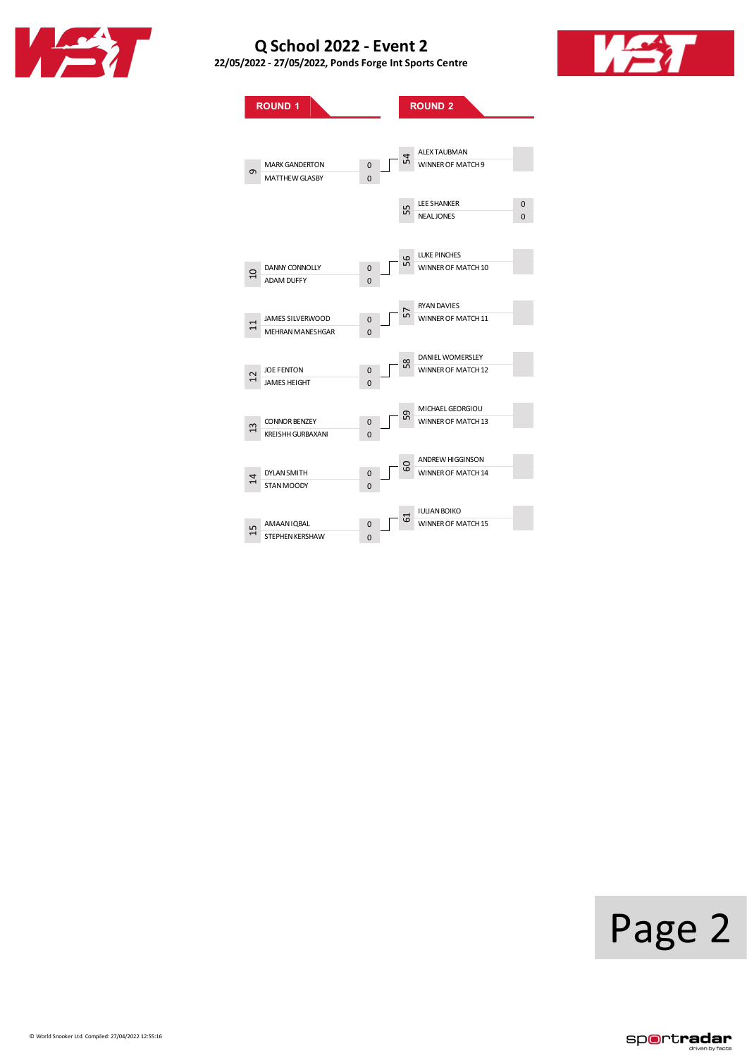

**22/05/2022 - 27/05/2022, PondsForge IntSports Centre**



**ROUND 1 ROUND 2** MARKGANDERTON 0 MATTHEW GLASBY 0 DANNY CONNOLLY 0<br>ADAM DUFFY 0 ADAM DUFFY JAMES SILVERWOOD 0 MEHRAN MANESHGAR 0 JOE FENTON 0<br>JAMES HEIGHT 0 JAMES HEIGHT 0 CONNOR BENZEY 0<br>
KREISHH GURBAXANI 0 KREISHH GURBAXANI DYLANSMITH 0<br>STAN MOODY 0 STAN MOODY AMAANIQBAL 0<br>STEPHEN KERSHAW 0 STEPHEN KERSHAW ALEX TAUBMAN WINNER OF MATCH 9 LEE SHANKER 0<br>NEAL JONES 0 NEAL JONES LUKE PINCHES WINNER OF MATCH 10 RYANDAVIES WINNER OF MATCH 11 DANIELWOMERSLEY WINNER OF MATCH 12 MICHAELGEORGIOU WINNER OF MATCH 13 ANDREWHIGGINSON WINNER OF MATCH 14 IULIANBOIKO WINNER OF MATCH 15  $\sigma$  $\Omega$ 11 12 13 14 15 54 55 56 57 58 60 61

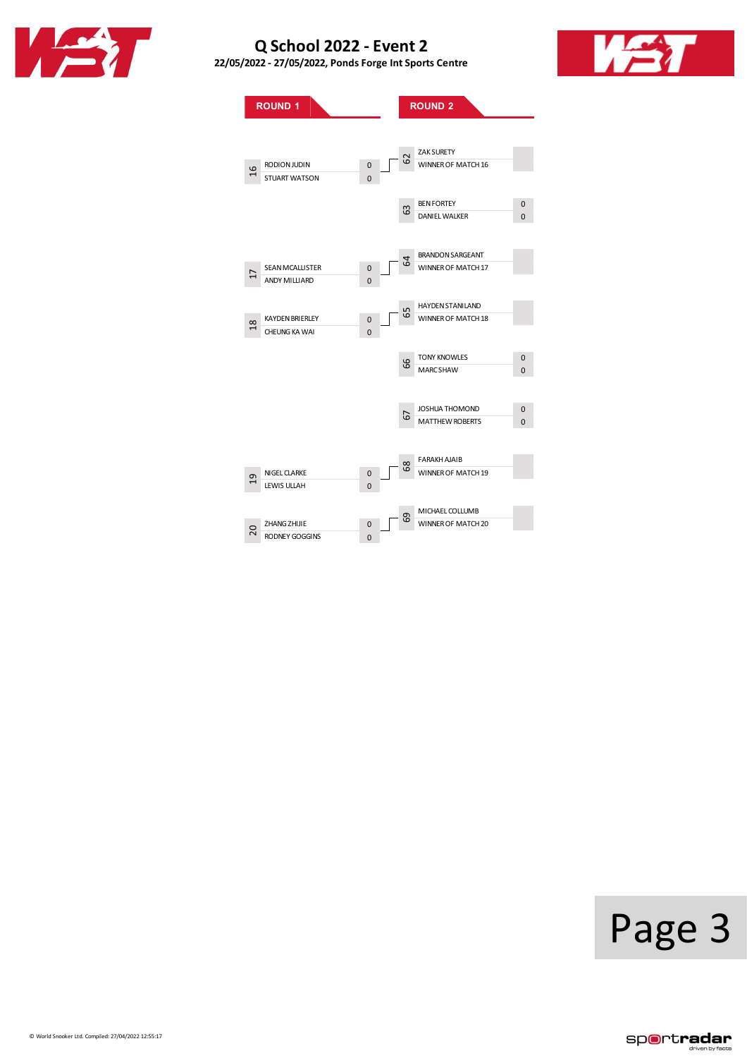

**22/05/2022 - 27/05/2022, PondsForge IntSports Centre**



**ROUND 1 ROUND 2** RODIONJUDIN 0<br>STUART WATSON 0 STUART WATSON SEAN MCALLISTER 0<br>ANDY MILLIARD 0 ANDY MILLIARD KAYDEN BRIERLEY 0 CHEUNG KA WAI 0 NIGEL CLARKE 0<br>LEWIS ULLAH 0 LEWIS ULLAH ZHANGZHIJIE 0 RODNEY GOGGINS ZAK SURETY WINNER OF MATCH 16 BEN FORTEY 0<br>DANIEL WALKER 0 DANIEL WALKER BRANDONSARGEANT WINNER OF MATCH 17 HAYDEN STANILAND WINNER OF MATCH 18 TONY KNOWLES 0 MARCSHAW 0 JOSHUA THOMOND 0 MATTHEW ROBERTS 0 FARAKH AJAIB WINNER OF MATCH 19 MICHAEL COLLUMB WINNER OF MATCH 20 16 17 18 19 20 62 63 64 65 66 68 69

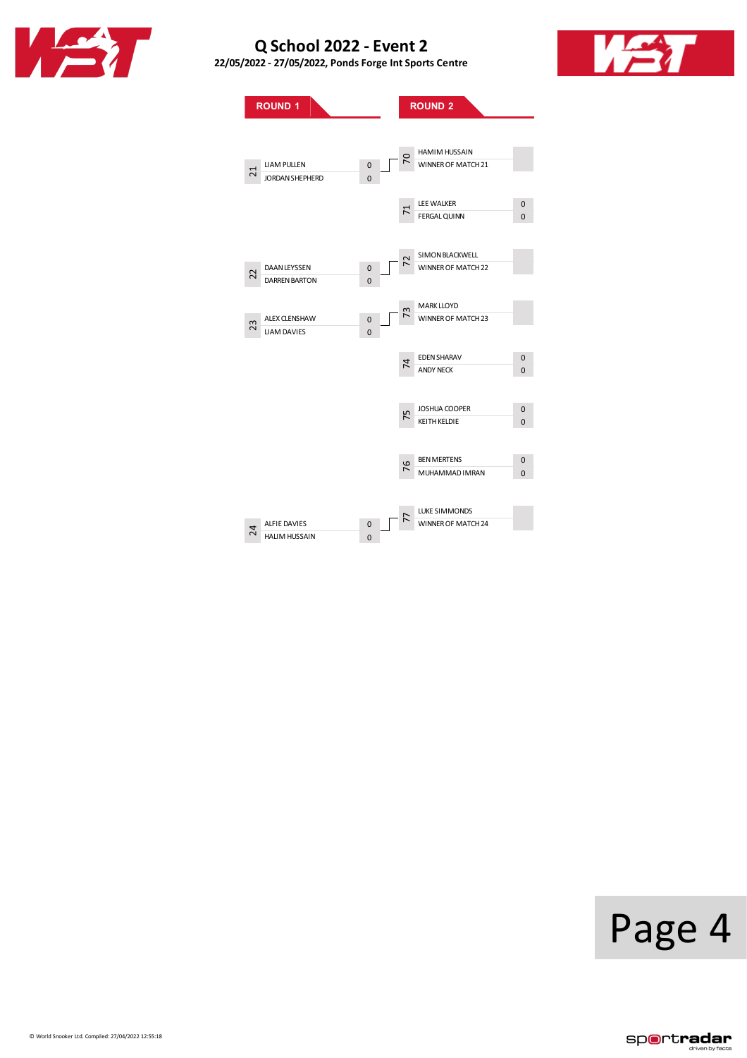

**22/05/2022 - 27/05/2022, PondsForge IntSports Centre**



|    | <b>ROUND 1</b>                              |                         |                | <b>ROUND 2</b>                             |                         |
|----|---------------------------------------------|-------------------------|----------------|--------------------------------------------|-------------------------|
| ដ  | <b>LIAM PULLEN</b><br>JORDAN SHEPHERD       | $\mathbf 0$<br>$\Omega$ | 5              | <b>HAMIM HUSSAIN</b><br>WINNER OF MATCH 21 |                         |
|    |                                             |                         | $\overline{7}$ | LEE WALKER<br><b>FERGAL QUINN</b>          | $\mathbf 0$<br>0        |
| 22 | <b>DAAN LEYSSEN</b><br><b>DARREN BARTON</b> | 0<br>$\Omega$           |                | SIMON BLACKWELL<br>WINNER OF MATCH 22      |                         |
| 23 | <b>ALEX CLENSHAW</b><br><b>LIAM DAVIES</b>  | 0<br>$\overline{0}$     | m              | <b>MARK LLOYD</b><br>WINNER OF MATCH 23    |                         |
|    |                                             |                         | 74             | <b>EDEN SHARAV</b><br><b>ANDY NECK</b>     | $\mathbf 0$<br>$\Omega$ |
|    |                                             |                         | 75             | JOSHUA COOPER<br><b>KEITH KELDIE</b>       | 0<br>0                  |
|    |                                             |                         | 76             | <b>BEN MERTENS</b><br>MUHAMMAD IMRAN       | 0<br>$\Omega$           |
|    |                                             |                         |                | <b>LUKE SIMMONDS</b>                       |                         |

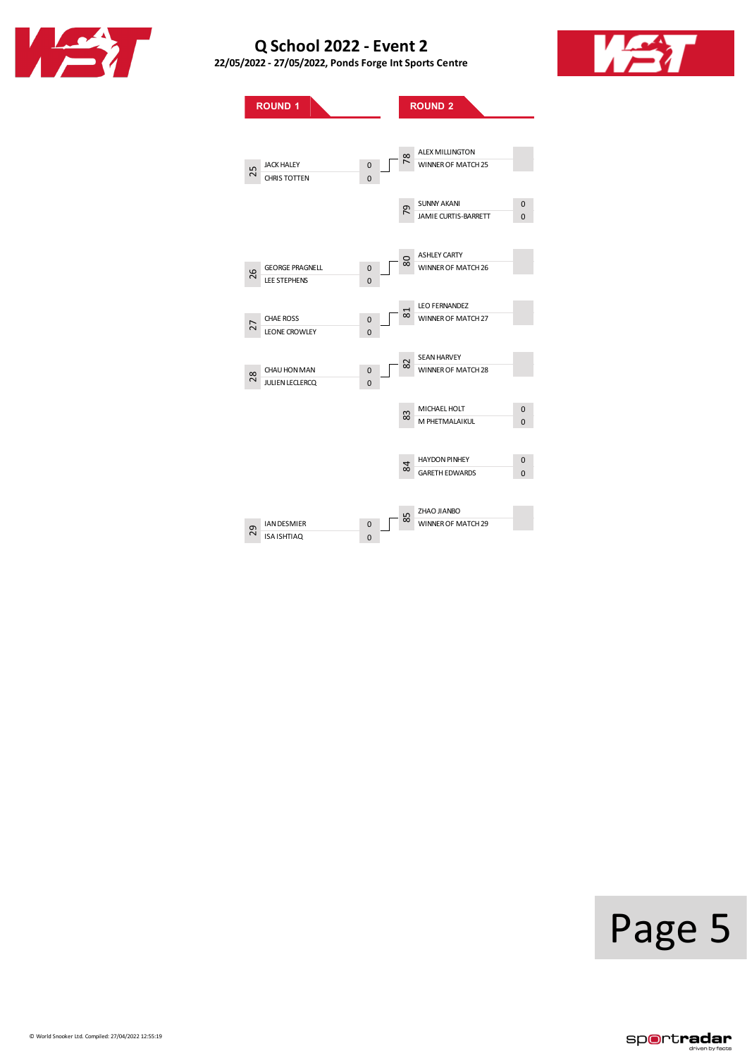

**22/05/2022 - 27/05/2022, PondsForge IntSports Centre**



**ROUND 1 ROUND 2** JACK HALEY 0<br>CHRIS TOTTEN 0 CHRISTOTTEN GEORGE PRAGNELL 0<br>LEE STEPHENS 0 LEE STEPHENS CHAE ROSS 0 LEONE CROWLEY 0 CHAU HON MAN 0<br>
JULIEN LECLERCQ 0 JULIENLECLERCQ 0 IAN DESMIER 0<br>ISA ISHTIAQ 0 ISA ISHTIAQ 0 ALEX MILLINGTON WINNER OF MATCH 25 SUNNY AKANI 0 JAMIE CURTIS-BARRETT 0 ASHLEY CARTY WINNER OF MATCH 26 LEO FERNANDEZ WINNER OF MATCH 27 SEANHARVEY WINNER OF MATCH 28 MICHAEL HOLT 0 MPHETMALAIKUL<sub>0</sub> HAYDON PINHEY 0<br>GARETH EDWARDS 0 GARETH EDWARDS ZHAO JIANBO WINNER OF MATCH 29 25 26 27 28 29 78 79 80 81 82 84 85

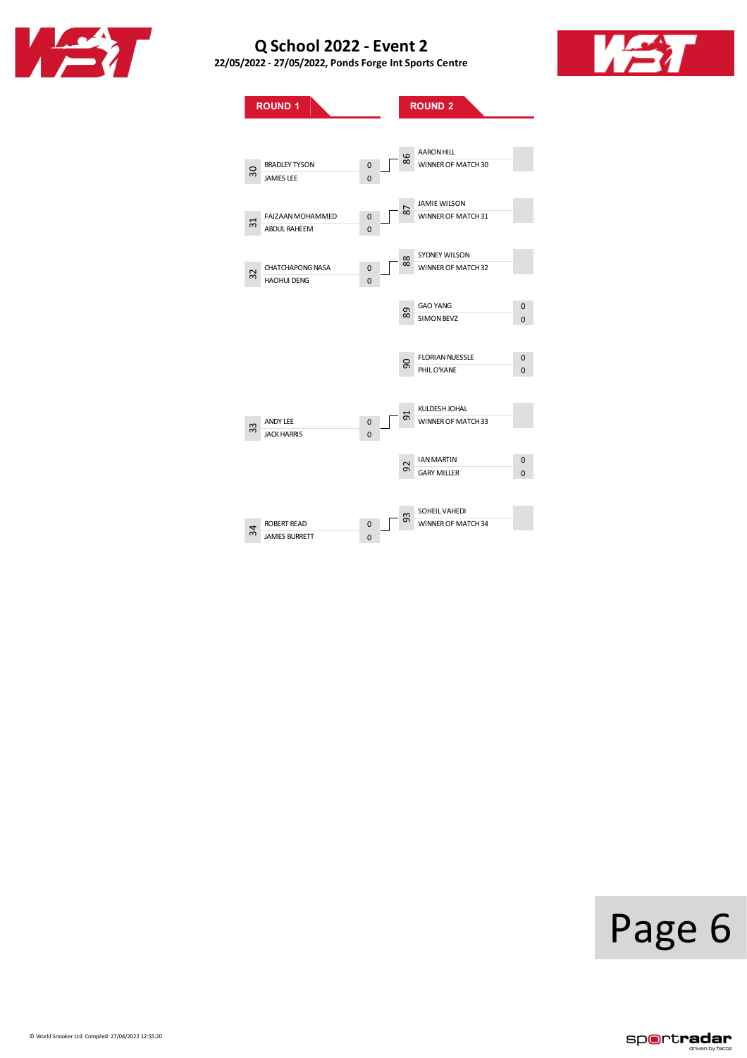

**22/05/2022 - 27/05/2022, PondsForge IntSports Centre**



**ROUND**<sub>1</sub> **ROUND**<sub>2</sub> BRADLEY TYSON 0<br>JAMES LEE 0 JAMES LEE FAIZAAN MOHAMMED 0<br>ABDUL RAHEEM 0 ABDUL RAHEEM 0 CHATCHAPONG NASA 0<br>HAOHUI DENG 0 HAOHUI DENG 0 ANDY LEE 0<br>JACK HARRIS 0 JACK HARRIS ROBERT READ 0<br>
JAMES BURRETT 0 JAMES BURRETT AARONHILL WINNER OF MATCH 30 JAMIEWILSON WINNER OF MATCH 31 SYDNEY WILSON WINNER OF MATCH 32 GAO YANG Q SIMONBEVZ 0 FLORIAN NUESSLE 0 PHILO'KANE 0 KULDESHJOHAL WINNER OF MATCH 33 IAN MARTIN 0<br>GARY MILLER 0 **GARY MILLER** SOHEIL VAHEDI WINNER OF MATCH 34 30 31 32 33 34 86 87 88 90 92 93



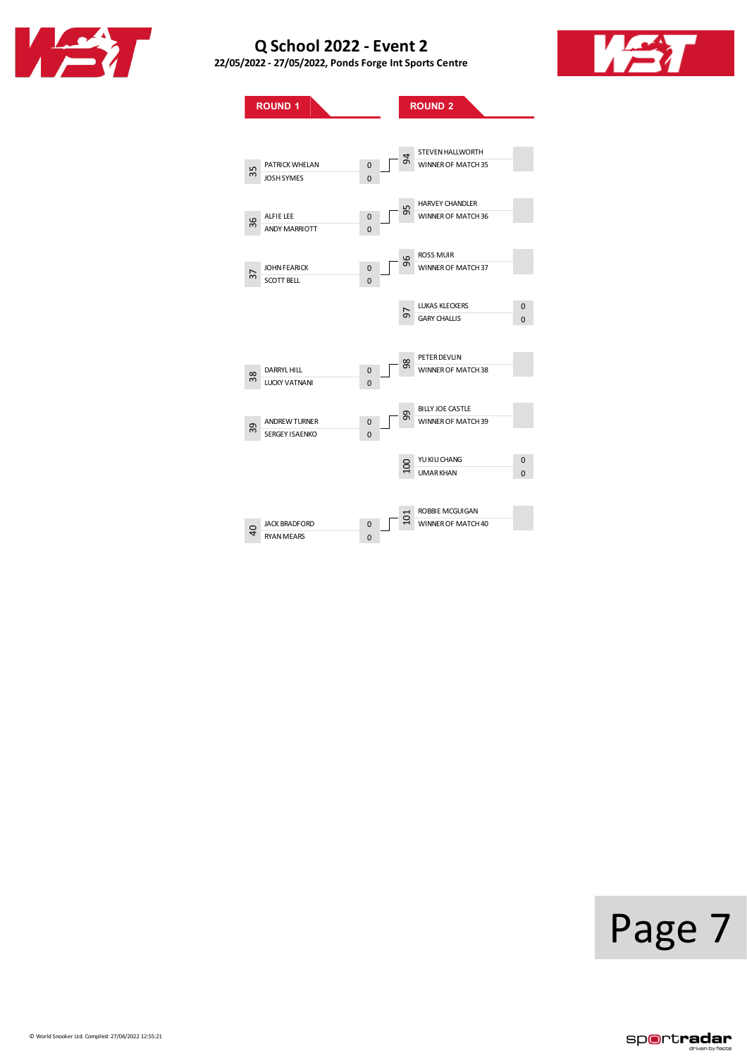

**22/05/2022 - 27/05/2022, PondsForge IntSports Centre**



**ROUND**<sub>1</sub> **ROUND**<sub>2</sub> PATRICKWHELAN 0 JOSH SYMES ALFIELEE 0<br>ANDY MARRIOTT 0 ANDY MARRIOTT JOHN FEARICK 0<br>SCOTT BELL 0 SCOTT BELL DARRYLHILL 0<br>LUCKY VATNANI 0 LUCKY VATNANI ANDREWTURNER 0<br>SERGEY ISAENKO 0 SERGEY ISAENKO JACK BRADFORD 0<br>RYAN MEARS 0 RYAN MEARS STEVENHALLWORTH WINNER OF MATCH 35 HARVEY CHANDLER WINNER OF MATCH 36 ROSSMUIR WINNER OF MATCH 37 LUKAS KLECKERS 0<br>GARY CHALLIS 0 GARY CHALLIS 0 PETER DEVLIN WINNER OF MATCH 38 BILLYJOE CASTLE WINNER OF MATCH 39 YUKIUCHANG 0 UMARKHAN 0 100 ROBBIEMCGUIGAN WINNER OF MATCH 40 35 36 37 38 39  $\overline{a}$ 94 95 96 98 99 101

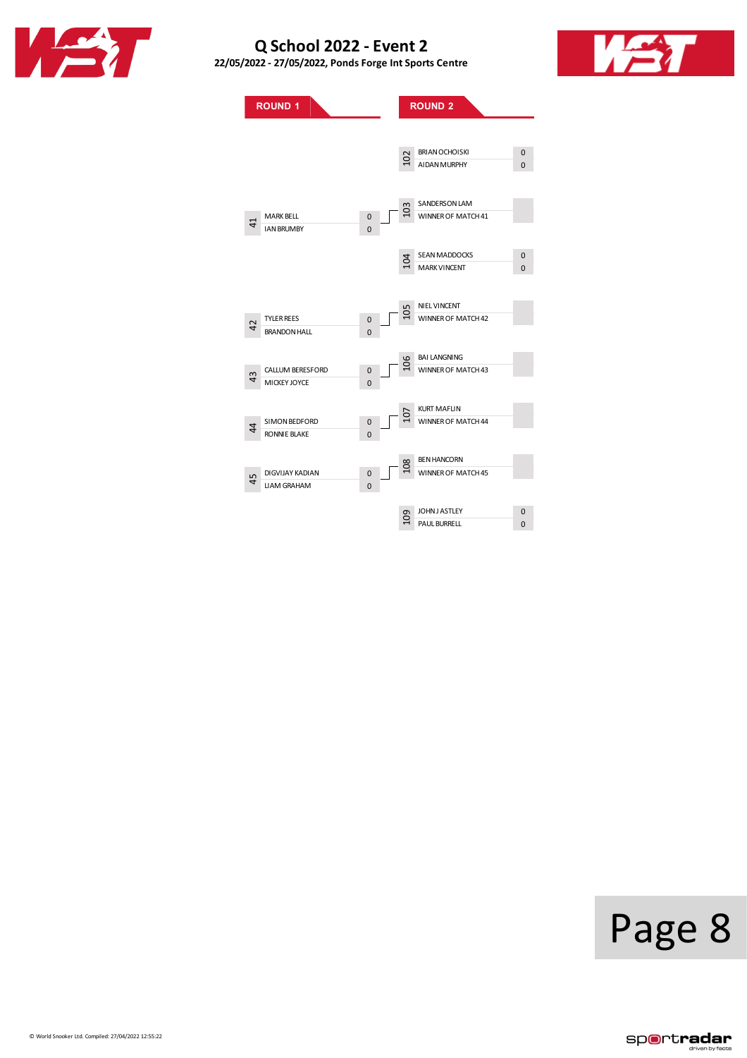

**22/05/2022 - 27/05/2022, PondsForge IntSports Centre**





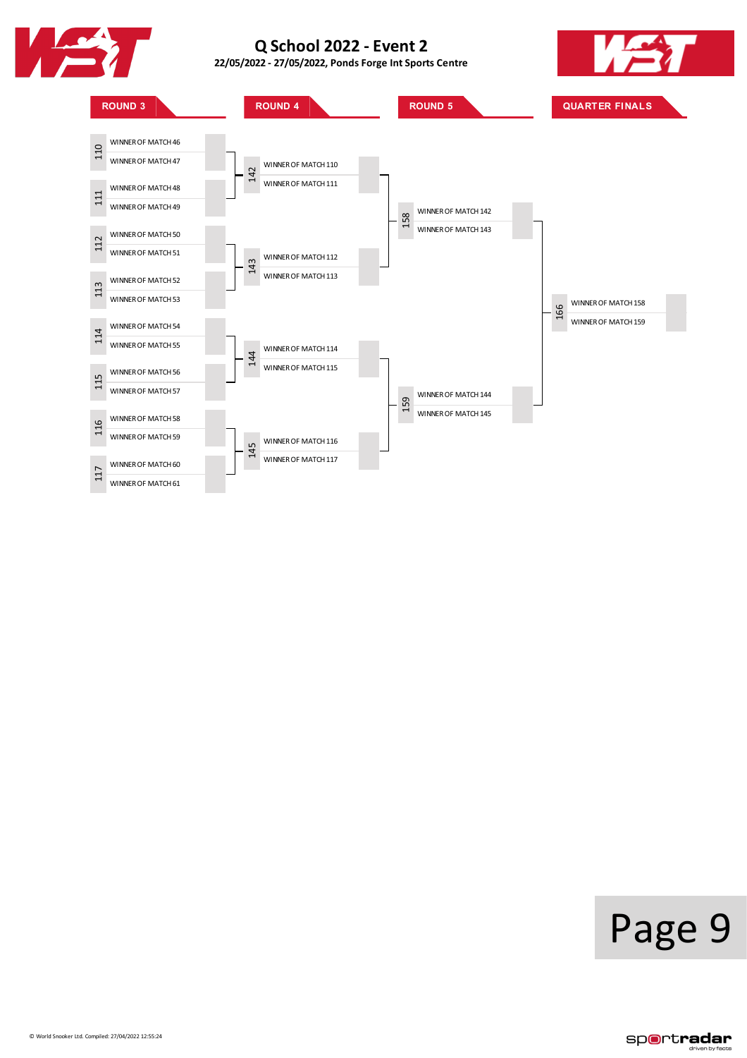

**22/05/2022 - 27/05/2022, PondsForge IntSports Centre**





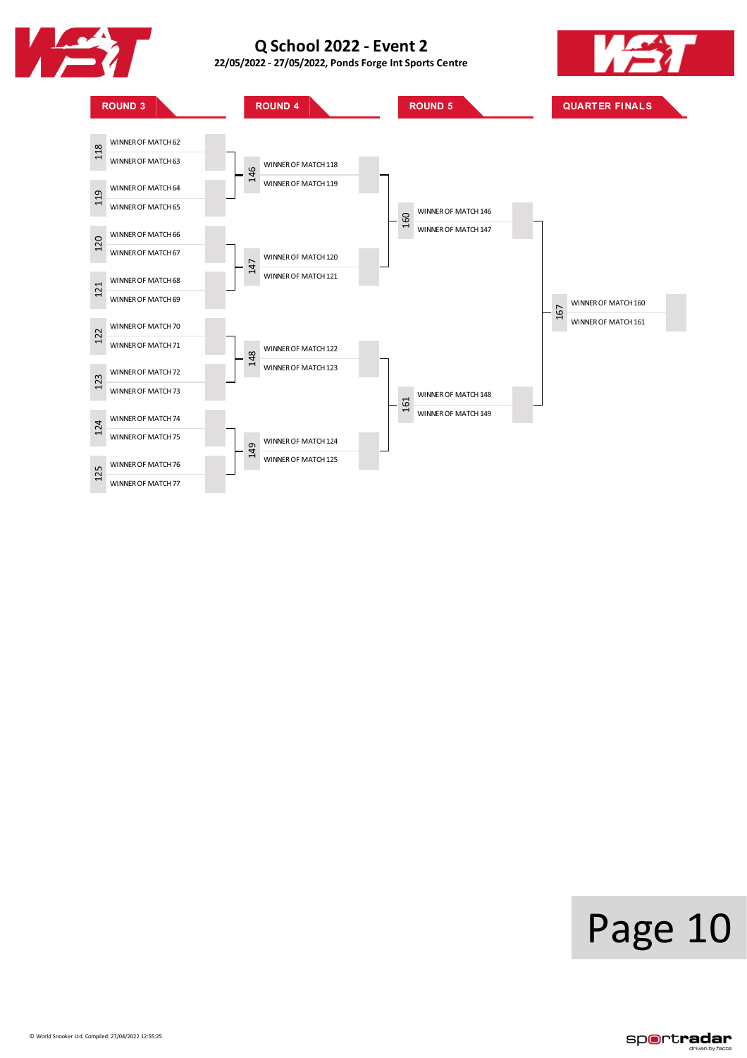

**22/05/2022 - 27/05/2022, PondsForge IntSports Centre**



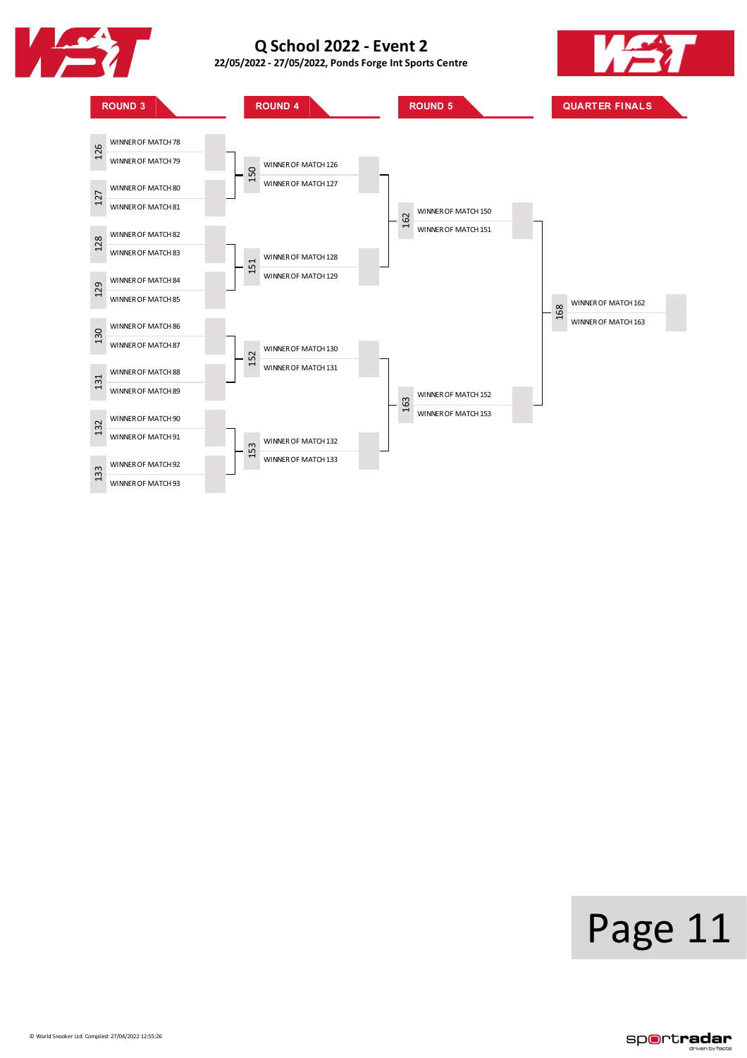

**22/05/2022 - 27/05/2022, PondsForge IntSports Centre**